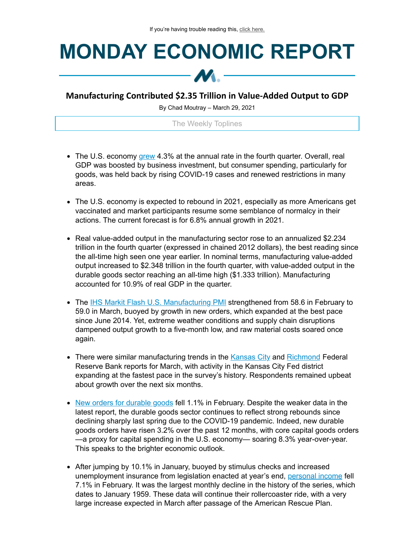## **MONDAY ECONOMIC REPORT**



## **Manufacturing Contributed \$2.35 Trillion in Value-Added Output to GDP**

By Chad Moutray – March 29, 2021

The Weekly Toplines

- The U.S. economy [grew](https://click.email.nam.org/?qs=d296e4c4c8d896def0b8e00757baeb191359fff945991e130261c766456ad316d4120297338ad6b8c7647170859178e05b8c90c1dd0e5b2bdb1b1cfb048c4f05) 4.3% at the annual rate in the fourth quarter. Overall, real GDP was boosted by business investment, but consumer spending, particularly for goods, was held back by rising COVID-19 cases and renewed restrictions in many areas.
- The U.S. economy is expected to rebound in 2021, especially as more Americans get vaccinated and market participants resume some semblance of normalcy in their actions. The current forecast is for 6.8% annual growth in 2021.
- Real value-added output in the manufacturing sector rose to an annualized \$2.234 trillion in the fourth quarter (expressed in chained 2012 dollars), the best reading since the all-time high seen one year earlier. In nominal terms, manufacturing value-added output increased to \$2.348 trillion in the fourth quarter, with value-added output in the durable goods sector reaching an all-time high (\$1.333 trillion). Manufacturing accounted for 10.9% of real GDP in the quarter.
- The IHS Markit Flash U.S. [Manufacturing](https://click.email.nam.org/?qs=d296e4c4c8d896dee083fa77f6eee437e23854547568e30c1c4897713330b98178be949b6b54066c707b3e5846a55a882fb2c02025b143899eaff1fd0e504c1d) PMI strengthened from 58.6 in February to 59.0 in March, buoyed by growth in new orders, which expanded at the best pace since June 2014. Yet, extreme weather conditions and supply chain disruptions dampened output growth to a five-month low, and raw material costs soared once again.
- There were similar manufacturing trends in the [Kansas](https://click.email.nam.org/?qs=d296e4c4c8d896de753685d9a9faf0f0f6989484f4a0a03cf41b24310780c75dbe6b5c28da6a3ad71ea26272b67605ff3313bbf8089be3c0c4e974eeb557c295) City and [Richmond](https://click.email.nam.org/?qs=d296e4c4c8d896de0c3a98eedfc735bdee1105206445c7c8fae4460752bd2182e7f93456e200e248b72ad0867e5901199c7b2a5d006006bb305a3e7030dd54f0) Federal Reserve Bank reports for March, with activity in the Kansas City Fed district expanding at the fastest pace in the survey's history. Respondents remained upbeat about growth over the next six months.
- New orders for [durable](https://click.email.nam.org/?qs=d296e4c4c8d896de13eeaf889d36aa5868bae4d63a8ccab727f01aada4c00a8c7d6c3c77137da415561c01b8f47a48ae3409b128dfb5b73ddcb2dbe51cebfadb) goods fell 1.1% in February. Despite the weaker data in the latest report, the durable goods sector continues to reflect strong rebounds since declining sharply last spring due to the COVID-19 pandemic. Indeed, new durable goods orders have risen 3.2% over the past 12 months, with core capital goods orders —a proxy for capital spending in the U.S. economy— soaring 8.3% year-over-year. This speaks to the brighter economic outlook.
- After jumping by 10.1% in January, buoyed by stimulus checks and increased unemployment insurance from legislation enacted at year's end, [personal](https://click.email.nam.org/?qs=d296e4c4c8d896de14739f761c8ce07fbfb2086854fca4667dc079742a4eff9c3110e0eb397bd5d899613b8ad30dc6dfab0853f4b2f22c0d635fdde68e0ab603) income fell 7.1% in February. It was the largest monthly decline in the history of the series, which dates to January 1959. These data will continue their rollercoaster ride, with a very large increase expected in March after passage of the American Rescue Plan.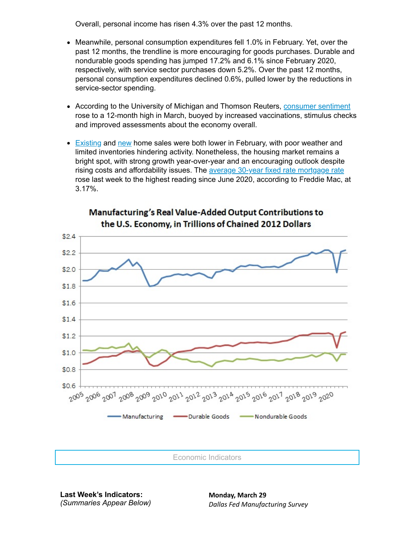Overall, personal income has risen 4.3% over the past 12 months.

- Meanwhile, personal consumption expenditures fell 1.0% in February. Yet, over the past 12 months, the trendline is more encouraging for goods purchases. Durable and nondurable goods spending has jumped 17.2% and 6.1% since February 2020, respectively, with service sector purchases down 5.2%. Over the past 12 months, personal consumption expenditures declined 0.6%, pulled lower by the reductions in service-sector spending.
- According to the University of Michigan and Thomson Reuters, [consumer](https://click.email.nam.org/?qs=d296e4c4c8d896defe2e423c909f34bc3f0ff73e90d1a540cc19b14bac7c1fb247ac654724c87b3862b3c4698fe345c4d5b4349cb80c72dbdec548f13e8103d6) sentiment rose to a 12-month high in March, buoyed by increased vaccinations, stimulus checks and improved assessments about the economy overall.
- **[Existing](https://click.email.nam.org/?qs=d296e4c4c8d896deca401ccc8add41c3823a937f3850c42d93e5a0879cd27ff256d04fb009b076c074403ba9fa2a3356d7dc87248bd583d6f48cc4812702e9e9) and [new](https://click.email.nam.org/?qs=d296e4c4c8d896de2b880a6837fd0403009f0848300f2037a50c01c9b0426aa5e4cb02ba6103c090d7f12351aa877c5d76a80df238f1475aac7010e5a3436d8e) home sales were both lower in February, with poor weather and** limited inventories hindering activity. Nonetheless, the housing market remains a bright spot, with strong growth year-over-year and an encouraging outlook despite rising costs and affordability issues. The average 30-year fixed rate [mortgage](https://click.email.nam.org/?qs=d296e4c4c8d896de027adb6787ba0c9ccbc8be60661c04185951b480f824f14edb4c633c50a810ac255bb0ac87c2184fd4b6a496a425b544b6e2eeed69bfec90) rate rose last week to the highest reading since June 2020, according to Freddie Mac, at 3.17%.



## Manufacturing's Real Value-Added Output Contributions to the U.S. Economy, in Trillions of Chained 2012 Dollars

Economic Indicators

**Last Week's Indicators:** *(Summaries Appear Below)* **Monday, March 29** *Dallas Fed Manufacturing Survey*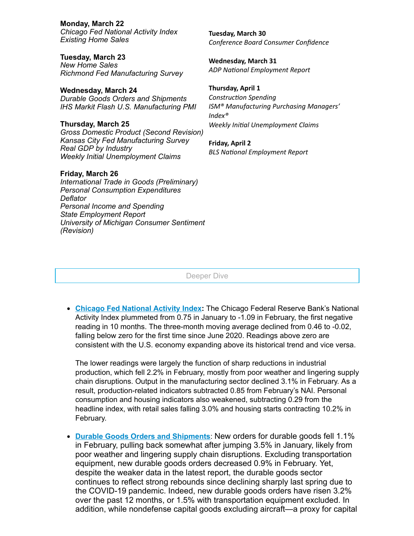**Monday, March 22** *Chicago Fed National Activity Index Existing Home Sales*

**Tuesday, March 23** *New Home Sales Richmond Fed Manufacturing Survey*

**Wednesday, March 24** *Durable Goods Orders and Shipments IHS Markit Flash U.S. Manufacturing PMI*

**Thursday, March 25** *Gross Domestic Product (Second Revision) Kansas City Fed Manufacturing Survey Real GDP by Industry Weekly Initial Unemployment Claims*

## **Friday, March 26**

*International Trade in Goods (Preliminary) Personal Consumption Expenditures Deflator Personal Income and Spending State Employment Report University of Michigan Consumer Sentiment (Revision)*

**Tuesday, March 30** *Conference Board Consumer Confidence*

**Wednesday, March 31 ADP** National *Employment* Report

**Thursday, April 1** *Construction Spending ISM® Manufacturing Purchasing Managers' Index® Weekly Inial Unemployment Claims*

**Friday, April 2 BLS** National *Employment* Report

Deeper Dive

**Chicago Fed [National](https://click.email.nam.org/?qs=d296e4c4c8d896deece971c17ba600eecdda5c750a4171ea0b5bc9467ee0cd1cf6768293be683b97d6945aa237cb82aa84a4bcbb6b6cafe9200040fdb91c3d53) Activity Index:** The Chicago Federal Reserve Bank's National Activity Index plummeted from 0.75 in January to -1.09 in February, the first negative reading in 10 months. The three-month moving average declined from 0.46 to -0.02, falling below zero for the first time since June 2020. Readings above zero are consistent with the U.S. economy expanding above its historical trend and vice versa.

The lower readings were largely the function of sharp reductions in industrial production, which fell 2.2% in February, mostly from poor weather and lingering supply chain disruptions. Output in the manufacturing sector declined 3.1% in February. As a result, production-related indicators subtracted 0.85 from February's NAI. Personal consumption and housing indicators also weakened, subtracting 0.29 from the headline index, with retail sales falling 3.0% and housing starts contracting 10.2% in February.

**Durable Goods Orders and [Shipments](https://click.email.nam.org/?qs=d296e4c4c8d896de13eeaf889d36aa5868bae4d63a8ccab727f01aada4c00a8c7d6c3c77137da415561c01b8f47a48ae3409b128dfb5b73ddcb2dbe51cebfadb)**: New orders for durable goods fell 1.1% in February, pulling back somewhat after jumping 3.5% in January, likely from poor weather and lingering supply chain disruptions. Excluding transportation equipment, new durable goods orders decreased 0.9% in February. Yet, despite the weaker data in the latest report, the durable goods sector continues to reflect strong rebounds since declining sharply last spring due to the COVID-19 pandemic. Indeed, new durable goods orders have risen 3.2% over the past 12 months, or 1.5% with transportation equipment excluded. In addition, while nondefense capital goods excluding aircraft—a proxy for capital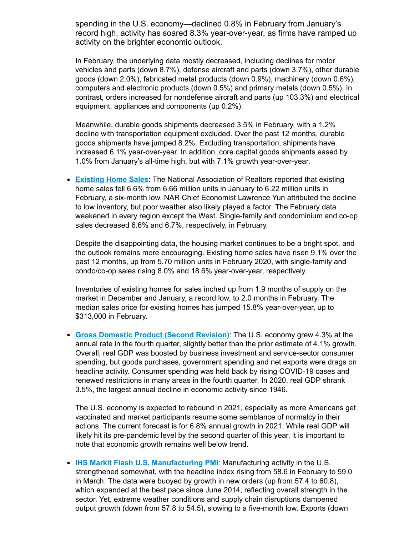spending in the U.S. economy—declined 0.8% in February from January's record high, activity has soared 8.3% year-over-year, as firms have ramped up activity on the brighter economic outlook.

In February, the underlying data mostly decreased, including declines for motor vehicles and parts (down 8.7%), defense aircraft and parts (down 3.7%), other durable goods (down 2.0%), fabricated metal products (down 0.9%), machinery (down 0.6%), computers and electronic products (down 0.5%) and primary metals (down 0.5%). In contrast, orders increased for nondefense aircraft and parts (up 103.3%) and electrical equipment, appliances and components (up 0.2%).

Meanwhile, durable goods shipments decreased 3.5% in February, with a 1.2% decline with transportation equipment excluded. Over the past 12 months, durable goods shipments have jumped 8.2%. Excluding transportation, shipments have increased 6.1% year-over-year. In addition, core capital goods shipments eased by 1.0% from January's all-time high, but with 7.1% growth year-over-year.

**[Existing](https://click.email.nam.org/?qs=d296e4c4c8d896deca401ccc8add41c3823a937f3850c42d93e5a0879cd27ff256d04fb009b076c074403ba9fa2a3356d7dc87248bd583d6f48cc4812702e9e9) Home Sales**: The National Association of Realtors reported that existing home sales fell 6.6% from 6.66 million units in January to 6.22 million units in February, a six-month low. NAR Chief Economist Lawrence Yun attributed the decline to low inventory, but poor weather also likely played a factor. The February data weakened in every region except the West. Single-family and condominium and co-op sales decreased 6.6% and 6.7%, respectively, in February.

Despite the disappointing data, the housing market continues to be a bright spot, and the outlook remains more encouraging. Existing home sales have risen 9.1% over the past 12 months, up from 5.70 million units in February 2020, with single-family and condo/co-op sales rising 8.0% and 18.6% year-over-year, respectively.

Inventories of existing homes for sales inched up from 1.9 months of supply on the market in December and January, a record low, to 2.0 months in February. The median sales price for existing homes has jumped 15.8% year-over-year, up to \$313,000 in February.

**Gross [Domestic](https://click.email.nam.org/?qs=d296e4c4c8d896def0b8e00757baeb191359fff945991e130261c766456ad316d4120297338ad6b8c7647170859178e05b8c90c1dd0e5b2bdb1b1cfb048c4f05) Product (Second Revision)**: The U.S. economy grew 4.3% at the annual rate in the fourth quarter, slightly better than the prior estimate of 4.1% growth. Overall, real GDP was boosted by business investment and service-sector consumer spending, but goods purchases, government spending and net exports were drags on headline activity. Consumer spending was held back by rising COVID-19 cases and renewed restrictions in many areas in the fourth quarter. In 2020, real GDP shrank 3.5%, the largest annual decline in economic activity since 1946.

The U.S. economy is expected to rebound in 2021, especially as more Americans get vaccinated and market participants resume some semblance of normalcy in their actions. The current forecast is for 6.8% annual growth in 2021. While real GDP will likely hit its pre-pandemic level by the second quarter of this year, it is important to note that economic growth remains well below trend.

**IHS Markit Flash U.S. [Manufacturing](https://click.email.nam.org/?qs=d296e4c4c8d896dee083fa77f6eee437e23854547568e30c1c4897713330b98178be949b6b54066c707b3e5846a55a882fb2c02025b143899eaff1fd0e504c1d) PMI**: Manufacturing activity in the U.S. strengthened somewhat, with the headline index rising from 58.6 in February to 59.0 in March. The data were buoyed by growth in new orders (up from 57.4 to 60.8), which expanded at the best pace since June 2014, reflecting overall strength in the sector. Yet, extreme weather conditions and supply chain disruptions dampened output growth (down from 57.8 to 54.5), slowing to a five-month low. Exports (down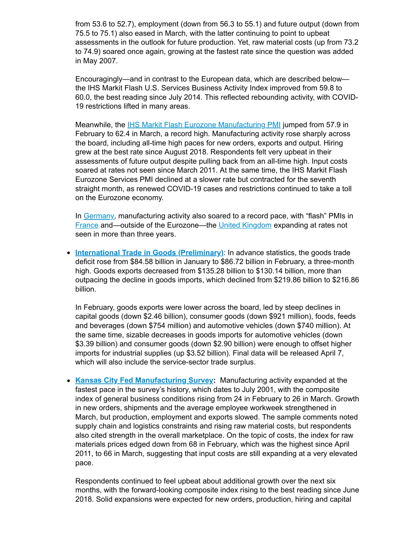from 53.6 to 52.7), employment (down from 56.3 to 55.1) and future output (down from 75.5 to 75.1) also eased in March, with the latter continuing to point to upbeat assessments in the outlook for future production. Yet, raw material costs (up from 73.2 to 74.9) soared once again, growing at the fastest rate since the question was added in May 2007.

Encouragingly—and in contrast to the European data, which are described below the IHS Markit Flash U.S. Services Business Activity Index improved from 59.8 to 60.0, the best reading since July 2014. This reflected rebounding activity, with COVID-19 restrictions lifted in many areas.

Meanwhile, the IHS Markit Flash Eurozone [Manufacturing](https://click.email.nam.org/?qs=d296e4c4c8d896de648d64d95b91475cb4b326814692edf11dec48fd517ef1fa84b9c1ccc2c326884a469bd4a99cdfa22d7d7c466d90c910e44039ae22ddb903) PMI jumped from 57.9 in February to 62.4 in March, a record high. Manufacturing activity rose sharply across the board, including all-time high paces for new orders, exports and output. Hiring grew at the best rate since August 2018. Respondents felt very upbeat in their assessments of future output despite pulling back from an all-time high. Input costs soared at rates not seen since March 2011. At the same time, the IHS Markit Flash Eurozone Services PMI declined at a slower rate but contracted for the seventh straight month, as renewed COVID-19 cases and restrictions continued to take a toll on the Eurozone economy.

In [Germany,](https://click.email.nam.org/?qs=d296e4c4c8d896de8cd72419e4ea405fe3074b99f8b8ac563710415f229a16894d242d0a936f51cf0e6b95762fedc6c34c55adf6fe833de7987ff7b47cc17042) manufacturing activity also soared to a record pace, with "flash" PMIs in [France](https://click.email.nam.org/?qs=d296e4c4c8d896de17ec4b59e4f7d48dd8c62825c17cc39b1a42b73b320c6ae4ec355a5495d8ee32a92b1cfa7bb20423b18ebd3e5d25df1a9206615d83151e8e) and—outside of the Eurozone—the United [Kingdom](https://click.email.nam.org/?qs=d296e4c4c8d896de25a53593db61ab82dce2884534a99815c04f862c2592c343d08730f072edad94d955dd3f16e4c3c883bcc304472382ee6e94af44a8c13ebb) expanding at rates not seen in more than three years.

**International Trade in Goods [\(Preliminary\)](https://click.email.nam.org/?qs=d296e4c4c8d896de9a17aac12c56bc16cc044c44f15c2bc968b011382e74b37190a610d535cdd02fda7c86b44d4faa3415237a070689f83bd519b6d65550219f)**: In advance statistics, the goods trade deficit rose from \$84.58 billion in January to \$86.72 billion in February, a three-month high. Goods exports decreased from \$135.28 billion to \$130.14 billion, more than outpacing the decline in goods imports, which declined from \$219.86 billion to \$216.86 billion.

In February, goods exports were lower across the board, led by steep declines in capital goods (down \$2.46 billion), consumer goods (down \$921 million), foods, feeds and beverages (down \$754 million) and automotive vehicles (down \$740 million). At the same time, sizable decreases in goods imports for automotive vehicles (down \$3.39 billion) and consumer goods (down \$2.90 billion) were enough to offset higher imports for industrial supplies (up \$3.52 billion). Final data will be released April 7, which will also include the service-sector trade surplus.

**Kansas City Fed [Manufacturing](https://click.email.nam.org/?qs=d296e4c4c8d896de753685d9a9faf0f0f6989484f4a0a03cf41b24310780c75dbe6b5c28da6a3ad71ea26272b67605ff3313bbf8089be3c0c4e974eeb557c295) Survey:** Manufacturing activity expanded at the fastest pace in the survey's history, which dates to July 2001, with the composite index of general business conditions rising from 24 in February to 26 in March. Growth in new orders, shipments and the average employee workweek strengthened in March, but production, employment and exports slowed. The sample comments noted supply chain and logistics constraints and rising raw material costs, but respondents also cited strength in the overall marketplace. On the topic of costs, the index for raw materials prices edged down from 68 in February, which was the highest since April 2011, to 66 in March, suggesting that input costs are still expanding at a very elevated pace.

Respondents continued to feel upbeat about additional growth over the next six months, with the forward-looking composite index rising to the best reading since June 2018. Solid expansions were expected for new orders, production, hiring and capital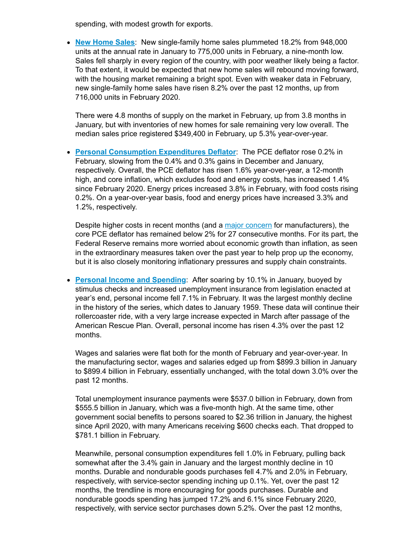spending, with modest growth for exports.

**New [Home](https://click.email.nam.org/?qs=d296e4c4c8d896de2b880a6837fd0403009f0848300f2037a50c01c9b0426aa5e4cb02ba6103c090d7f12351aa877c5d76a80df238f1475aac7010e5a3436d8e) Sales**: New single-family home sales plummeted 18.2% from 948,000 units at the annual rate in January to 775,000 units in February, a nine-month low. Sales fell sharply in every region of the country, with poor weather likely being a factor. To that extent, it would be expected that new home sales will rebound moving forward, with the housing market remaining a bright spot. Even with weaker data in February, new single-family home sales have risen 8.2% over the past 12 months, up from 716,000 units in February 2020.

There were 4.8 months of supply on the market in February, up from 3.8 months in January, but with inventories of new homes for sale remaining very low overall. The median sales price registered \$349,400 in February, up 5.3% year-over-year.

**Personal [Consumption](https://click.email.nam.org/?qs=d296e4c4c8d896de14739f761c8ce07fbfb2086854fca4667dc079742a4eff9c3110e0eb397bd5d899613b8ad30dc6dfab0853f4b2f22c0d635fdde68e0ab603) Expenditures Deflator**: The PCE deflator rose 0.2% in February, slowing from the 0.4% and 0.3% gains in December and January, respectively. Overall, the PCE deflator has risen 1.6% year-over-year, a 12-month high, and core inflation, which excludes food and energy costs, has increased 1.4% since February 2020. Energy prices increased 3.8% in February, with food costs rising 0.2%. On a year-over-year basis, food and energy prices have increased 3.3% and 1.2%, respectively.

Despite higher costs in recent months (and a major [concern](https://click.email.nam.org/?qs=d296e4c4c8d896de947d40af8c35c41918f37a85d29abc028ab1bd64ef044574a61ca5ea8b669625e6d16ba99083bd2a8e9df30c67c3180f4711bfe8aeaea0f3) for manufacturers), the core PCE deflator has remained below 2% for 27 consecutive months. For its part, the Federal Reserve remains more worried about economic growth than inflation, as seen in the extraordinary measures taken over the past year to help prop up the economy, but it is also closely monitoring inflationary pressures and supply chain constraints.

**Personal Income and [Spending](https://click.email.nam.org/?qs=d296e4c4c8d896de14739f761c8ce07fbfb2086854fca4667dc079742a4eff9c3110e0eb397bd5d899613b8ad30dc6dfab0853f4b2f22c0d635fdde68e0ab603)**: After soaring by 10.1% in January, buoyed by stimulus checks and increased unemployment insurance from legislation enacted at year's end, personal income fell 7.1% in February. It was the largest monthly decline in the history of the series, which dates to January 1959. These data will continue their rollercoaster ride, with a very large increase expected in March after passage of the American Rescue Plan. Overall, personal income has risen 4.3% over the past 12 months.

Wages and salaries were flat both for the month of February and year-over-year. In the manufacturing sector, wages and salaries edged up from \$899.3 billion in January to \$899.4 billion in February, essentially unchanged, with the total down 3.0% over the past 12 months.

Total unemployment insurance payments were \$537.0 billion in February, down from \$555.5 billion in January, which was a five-month high. At the same time, other government social benefits to persons soared to \$2.36 trillion in January, the highest since April 2020, with many Americans receiving \$600 checks each. That dropped to \$781.1 billion in February.

Meanwhile, personal consumption expenditures fell 1.0% in February, pulling back somewhat after the 3.4% gain in January and the largest monthly decline in 10 months. Durable and nondurable goods purchases fell 4.7% and 2.0% in February, respectively, with service-sector spending inching up 0.1%. Yet, over the past 12 months, the trendline is more encouraging for goods purchases. Durable and nondurable goods spending has jumped 17.2% and 6.1% since February 2020, respectively, with service sector purchases down 5.2%. Over the past 12 months,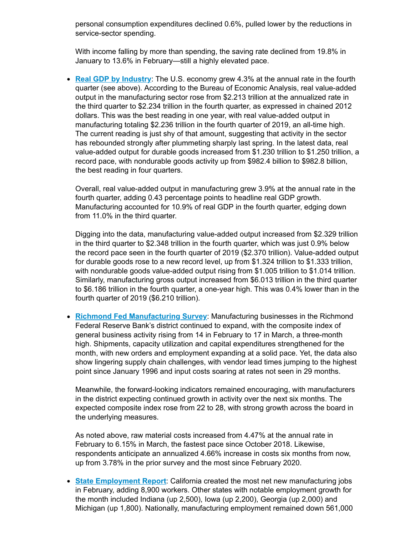personal consumption expenditures declined 0.6%, pulled lower by the reductions in service-sector spending.

With income falling by more than spending, the saving rate declined from 19.8% in January to 13.6% in February—still a highly elevated pace.

**Real GDP by [Industry](https://click.email.nam.org/?qs=d296e4c4c8d896def0b8e00757baeb191359fff945991e130261c766456ad316d4120297338ad6b8c7647170859178e05b8c90c1dd0e5b2bdb1b1cfb048c4f05)**: The U.S. economy grew 4.3% at the annual rate in the fourth quarter (see above). According to the Bureau of Economic Analysis, real value-added output in the manufacturing sector rose from \$2.213 trillion at the annualized rate in the third quarter to \$2.234 trillion in the fourth quarter, as expressed in chained 2012 dollars. This was the best reading in one year, with real value-added output in manufacturing totaling \$2.236 trillion in the fourth quarter of 2019, an all-time high. The current reading is just shy of that amount, suggesting that activity in the sector has rebounded strongly after plummeting sharply last spring. In the latest data, real value-added output for durable goods increased from \$1.230 trillion to \$1.250 trillion, a record pace, with nondurable goods activity up from \$982.4 billion to \$982.8 billion, the best reading in four quarters.

Overall, real value-added output in manufacturing grew 3.9% at the annual rate in the fourth quarter, adding 0.43 percentage points to headline real GDP growth. Manufacturing accounted for 10.9% of real GDP in the fourth quarter, edging down from 11.0% in the third quarter.

Digging into the data, manufacturing value-added output increased from \$2.329 trillion in the third quarter to \$2.348 trillion in the fourth quarter, which was just 0.9% below the record pace seen in the fourth quarter of 2019 (\$2.370 trillion). Value-added output for durable goods rose to a new record level, up from \$1.324 trillion to \$1.333 trillion, with nondurable goods value-added output rising from \$1.005 trillion to \$1.014 trillion. Similarly, manufacturing gross output increased from \$6.013 trillion in the third quarter to \$6.186 trillion in the fourth quarter, a one-year high. This was 0.4% lower than in the fourth quarter of 2019 (\$6.210 trillion).

**Richmond Fed [Manufacturing](https://click.email.nam.org/?qs=d296e4c4c8d896de0c3a98eedfc735bdee1105206445c7c8fae4460752bd2182e7f93456e200e248b72ad0867e5901199c7b2a5d006006bb305a3e7030dd54f0) Survey**: Manufacturing businesses in the Richmond Federal Reserve Bank's district continued to expand, with the composite index of general business activity rising from 14 in February to 17 in March, a three-month high. Shipments, capacity utilization and capital expenditures strengthened for the month, with new orders and employment expanding at a solid pace. Yet, the data also show lingering supply chain challenges, with vendor lead times jumping to the highest point since January 1996 and input costs soaring at rates not seen in 29 months.

Meanwhile, the forward-looking indicators remained encouraging, with manufacturers in the district expecting continued growth in activity over the next six months. The expected composite index rose from 22 to 28, with strong growth across the board in the underlying measures.

As noted above, raw material costs increased from 4.47% at the annual rate in February to 6.15% in March, the fastest pace since October 2018. Likewise, respondents anticipate an annualized 4.66% increase in costs six months from now, up from 3.78% in the prior survey and the most since February 2020.

**State [Employment](https://click.email.nam.org/?qs=d296e4c4c8d896defc41ce2b8b21c82d7d1e4939ad14e195474b6ec6ef863f7f3176bde0df8dbda471fcd03fc6a173050e39ce6fd241d1205c88879c48bf1b0e) Report**: California created the most net new manufacturing jobs in February, adding 8,900 workers. Other states with notable employment growth for the month included Indiana (up 2,500), Iowa (up 2,200), Georgia (up 2,000) and Michigan (up 1,800). Nationally, manufacturing employment remained down 561,000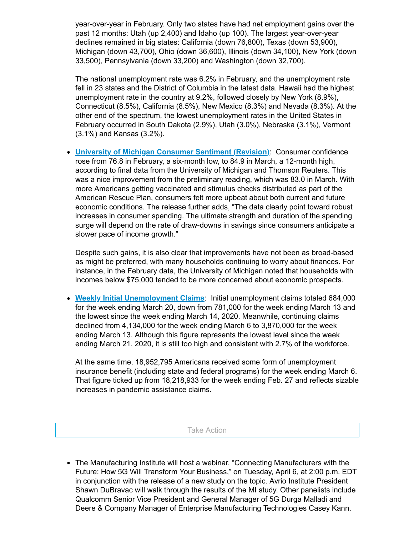year-over-year in February. Only two states have had net employment gains over the past 12 months: Utah (up 2,400) and Idaho (up 100). The largest year-over-year declines remained in big states: California (down 76,800), Texas (down 53,900), Michigan (down 43,700), Ohio (down 36,600), Illinois (down 34,100), New York (down 33,500), Pennsylvania (down 33,200) and Washington (down 32,700).

The national unemployment rate was 6.2% in February, and the unemployment rate fell in 23 states and the District of Columbia in the latest data. Hawaii had the highest unemployment rate in the country at 9.2%, followed closely by New York (8.9%), Connecticut (8.5%), California (8.5%), New Mexico (8.3%) and Nevada (8.3%). At the other end of the spectrum, the lowest unemployment rates in the United States in February occurred in South Dakota (2.9%), Utah (3.0%), Nebraska (3.1%), Vermont (3.1%) and Kansas (3.2%).

**University of Michigan [Consumer](https://click.email.nam.org/?qs=d296e4c4c8d896defe2e423c909f34bc3f0ff73e90d1a540cc19b14bac7c1fb247ac654724c87b3862b3c4698fe345c4d5b4349cb80c72dbdec548f13e8103d6) Sentiment (Revision)**: Consumer confidence rose from 76.8 in February, a six-month low, to 84.9 in March, a 12-month high, according to final data from the University of Michigan and Thomson Reuters. This was a nice improvement from the preliminary reading, which was 83.0 in March. With more Americans getting vaccinated and stimulus checks distributed as part of the American Rescue Plan, consumers felt more upbeat about both current and future economic conditions. The release further adds, "The data clearly point toward robust increases in consumer spending. The ultimate strength and duration of the spending surge will depend on the rate of draw-downs in savings since consumers anticipate a slower pace of income growth."

Despite such gains, it is also clear that improvements have not been as broad-based as might be preferred, with many households continuing to worry about finances. For instance, in the February data, the University of Michigan noted that households with incomes below \$75,000 tended to be more concerned about economic prospects.

**Weekly Initial [Unemployment](https://click.email.nam.org/?qs=d296e4c4c8d896de043e747773635c15514fbe19e7c27fbaae98795136f32bd47a184a522215d22562dc5533584c78b795a660892e3daa6fba176aae7bcf7747) Claims**: Initial unemployment claims totaled 684,000 for the week ending March 20, down from 781,000 for the week ending March 13 and the lowest since the week ending March 14, 2020. Meanwhile, continuing claims declined from 4,134,000 for the week ending March 6 to 3,870,000 for the week ending March 13. Although this figure represents the lowest level since the week ending March 21, 2020, it is still too high and consistent with 2.7% of the workforce.

At the same time, 18,952,795 Americans received some form of unemployment insurance benefit (including state and federal programs) for the week ending March 6. That figure ticked up from 18,218,933 for the week ending Feb. 27 and reflects sizable increases in pandemic assistance claims.

Take Action

The Manufacturing Institute will host a webinar, "Connecting Manufacturers with the Future: How 5G Will Transform Your Business," on Tuesday, April 6, at 2:00 p.m. EDT in conjunction with the release of a new study on the topic. Avrio Institute President Shawn DuBravac will walk through the results of the MI study. Other panelists include Qualcomm Senior Vice President and General Manager of 5G Durga Malladi and Deere & Company Manager of Enterprise Manufacturing Technologies Casey Kann.